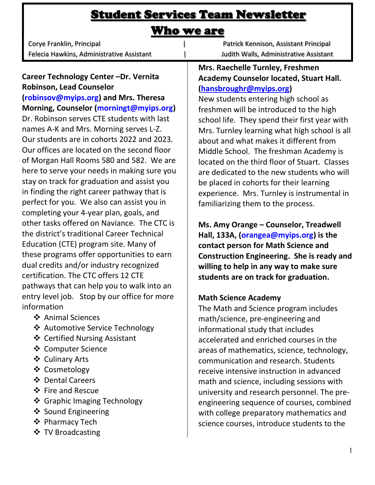# Student Services Team Newsletter

# Who we are

| Corye Franklin, Principal                 |
|-------------------------------------------|
| Felecia Hawkins, Administrative Assistant |

I

Career Technology Center –Dr. Vernita Robinson, Lead Counselor

(robinsov@myips.org) and Mrs. Theresa Morning, Counselor (morningt@myips.org) Dr. Robinson serves CTE students with last names A-K and Mrs. Morning serves L-Z. Our students are in cohorts 2022 and 2023. Our offices are located on the second floor of Morgan Hall Rooms 580 and 582. We are here to serve your needs in making sure you stay on track for graduation and assist you in finding the right career pathway that is perfect for you. We also can assist you in completing your 4-year plan, goals, and other tasks offered on Naviance. The CTC is the district's traditional Career Technical Education (CTE) program site. Many of these programs offer opportunities to earn dual credits and/or industry recognized certification. The CTC offers 12 CTE pathways that can help you to walk into an entry level job. Stop by our office for more information

- **❖** Animal Sciences
- ❖ Automotive Service Technology
- **❖** Certified Nursing Assistant
- **❖** Computer Science
- Culinary Arts
- Cosmetology
- Dental Careers
- ❖ Fire and Rescue
- ❖ Graphic Imaging Technology
- ❖ Sound Engineering
- **❖** Pharmacy Tech
- **❖ TV Broadcasting**

 $\overline{\mathbf{C}}$ Patrick Kennison, Assistant Principal Judith Walls, Administrative Assistant

#### Mrs. Raechelle Turnley, Freshmen Academy Counselor located, Stuart Hall. (hansbroughr@myips.org)

New students entering high school as freshmen will be introduced to the high school life. They spend their first year with Mrs. Turnley learning what high school is all about and what makes it different from Middle School. The freshman Academy is located on the third floor of Stuart. Classes are dedicated to the new students who will be placed in cohorts for their learning experience. Mrs. Turnley is instrumental in familiarizing them to the process.

Ms. Amy Orange – Counselor, Treadwell Hall, 133A, (orangea@myips.org) is the contact person for Math Science and Construction Engineering. She is ready and willing to help in any way to make sure students are on track for graduation.

# Math Science Academy

The Math and Science program includes math/science, pre-engineering and informational study that includes accelerated and enriched courses in the areas of mathematics, science, technology, communication and research. Students receive intensive instruction in advanced math and science, including sessions with university and research personnel. The preengineering sequence of courses, combined with college preparatory mathematics and science courses, introduce students to the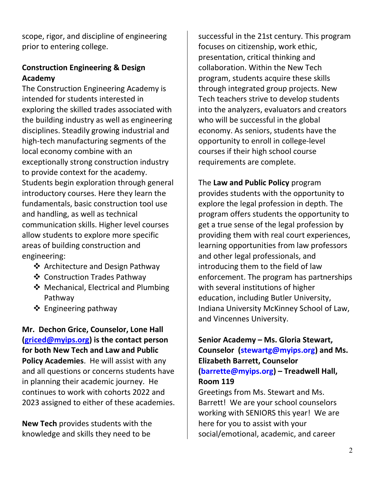scope, rigor, and discipline of engineering prior to entering college.

# Construction Engineering & Design Academy

The Construction Engineering Academy is intended for students interested in exploring the skilled trades associated with the building industry as well as engineering disciplines. Steadily growing industrial and high-tech manufacturing segments of the local economy combine with an exceptionally strong construction industry to provide context for the academy. Students begin exploration through general introductory courses. Here they learn the fundamentals, basic construction tool use and handling, as well as technical communication skills. Higher level courses allow students to explore more specific areas of building construction and engineering:

- ❖ Architecture and Design Pathway
- Construction Trades Pathway
- ❖ Mechanical, Electrical and Plumbing Pathway
- $\triangleleft$  Engineering pathway

Mr. Dechon Grice, Counselor, Lone Hall (griced@myips.org) is the contact person for both New Tech and Law and Public Policy Academies. He will assist with any and all questions or concerns students have in planning their academic journey. He continues to work with cohorts 2022 and 2023 assigned to either of these academies.

New Tech provides students with the knowledge and skills they need to be

successful in the 21st century. This program focuses on citizenship, work ethic, presentation, critical thinking and collaboration. Within the New Tech program, students acquire these skills through integrated group projects. New Tech teachers strive to develop students into the analyzers, evaluators and creators who will be successful in the global economy. As seniors, students have the opportunity to enroll in college-level courses if their high school course requirements are complete.

The Law and Public Policy program provides students with the opportunity to explore the legal profession in depth. The program offers students the opportunity to get a true sense of the legal profession by providing them with real court experiences, learning opportunities from law professors and other legal professionals, and introducing them to the field of law enforcement. The program has partnerships with several institutions of higher education, including Butler University, Indiana University McKinney School of Law, and Vincennes University.

Senior Academy – Ms. Gloria Stewart, Counselor (stewartg@myips.org) and Ms. Elizabeth Barrett, Counselor (barrette@myips.org) – Treadwell Hall, Room 119

Greetings from Ms. Stewart and Ms. Barrett! We are your school counselors working with SENIORS this year! We are here for you to assist with your social/emotional, academic, and career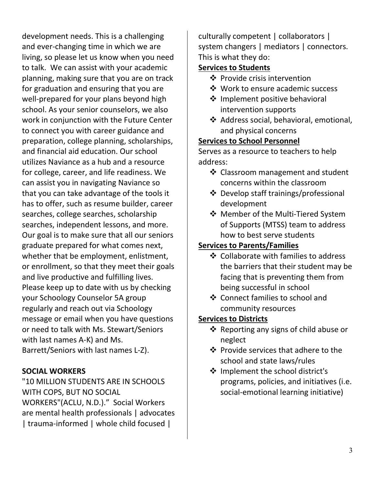development needs. This is a challenging and ever-changing time in which we are living, so please let us know when you need to talk. We can assist with your academic planning, making sure that you are on track for graduation and ensuring that you are well-prepared for your plans beyond high school. As your senior counselors, we also work in conjunction with the Future Center to connect you with career guidance and preparation, college planning, scholarships, and financial aid education. Our school utilizes Naviance as a hub and a resource for college, career, and life readiness. We can assist you in navigating Naviance so that you can take advantage of the tools it has to offer, such as resume builder, career searches, college searches, scholarship searches, independent lessons, and more. Our goal is to make sure that all our seniors graduate prepared for what comes next, whether that be employment, enlistment, or enrollment, so that they meet their goals and live productive and fulfilling lives. Please keep up to date with us by checking your Schoology Counselor 5A group regularly and reach out via Schoology message or email when you have questions or need to talk with Ms. Stewart/Seniors with last names A-K) and Ms. Barrett/Seniors with last names L-Z).

### SOCIAL WORKERS

"10 MILLION STUDENTS ARE IN SCHOOLS WITH COPS, BUT NO SOCIAL WORKERS"(ACLU, N.D.)." Social Workers are mental health professionals | advocates | trauma-informed | whole child focused |

culturally competent | collaborators | system changers | mediators | connectors. This is what they do:

## Services to Students

- ❖ Provide crisis intervention
- ❖ Work to ensure academic success
- **❖** Implement positive behavioral intervention supports
- Address social, behavioral, emotional, and physical concerns

#### Services to School Personnel

Serves as a resource to teachers to help address:

- ❖ Classroom management and student concerns within the classroom
- ❖ Develop staff trainings/professional development
- ❖ Member of the Multi-Tiered System of Supports (MTSS) team to address how to best serve students

### Services to Parents/Families

- ❖ Collaborate with families to address the barriers that their student may be facing that is preventing them from being successful in school
- Connect families to school and community resources

### Services to Districts

- $\triangleleft$  Reporting any signs of child abuse or neglect
- $\div$  Provide services that adhere to the school and state laws/rules
- $\dots$  Implement the school district's programs, policies, and initiatives (i.e. social-emotional learning initiative)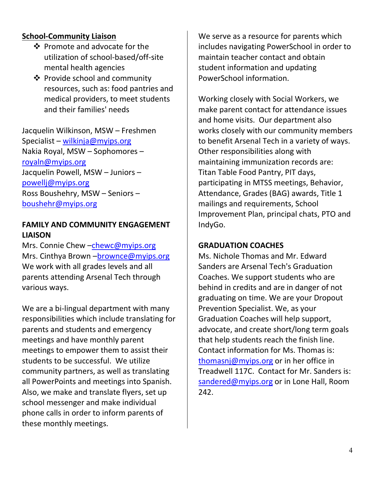## School-Community Liaison

- ❖ Promote and advocate for the utilization of school-based/off-site mental health agencies
- **Provide school and community** resources, such as: food pantries and medical providers, to meet students and their families' needs

Jacquelin Wilkinson, MSW – Freshmen Specialist – wilkinja@myips.org Nakia Royal, MSW – Sophomores – royaln@myips.org Jacquelin Powell, MSW – Juniors – powellj@myips.org Ross Boushehry, MSW – Seniors – boushehr@myips.org

#### FAMILY AND COMMUNITY ENGAGEMENT LIAISON

Mrs. Connie Chew -chewc@myips.org Mrs. Cinthya Brown - brownce@myips.org We work with all grades levels and all parents attending Arsenal Tech through various ways.

We are a bi-lingual department with many responsibilities which include translating for parents and students and emergency meetings and have monthly parent meetings to empower them to assist their students to be successful. We utilize community partners, as well as translating all PowerPoints and meetings into Spanish. Also, we make and translate flyers, set up school messenger and make individual phone calls in order to inform parents of these monthly meetings.

We serve as a resource for parents which includes navigating PowerSchool in order to maintain teacher contact and obtain student information and updating PowerSchool information.

Working closely with Social Workers, we make parent contact for attendance issues and home visits. Our department also works closely with our community members to benefit Arsenal Tech in a variety of ways. Other responsibilities along with maintaining immunization records are: Titan Table Food Pantry, PIT days, participating in MTSS meetings, Behavior, Attendance, Grades (BAG) awards, Title 1 mailings and requirements, School Improvement Plan, principal chats, PTO and IndyGo.

#### GRADUATION COACHES

Ms. Nichole Thomas and Mr. Edward Sanders are Arsenal Tech's Graduation Coaches. We support students who are behind in credits and are in danger of not graduating on time. We are your Dropout Prevention Specialist. We, as your Graduation Coaches will help support, advocate, and create short/long term goals that help students reach the finish line. Contact information for Ms. Thomas is: thomasnj@myips.org or in her office in Treadwell 117C. Contact for Mr. Sanders is: sandered@myips.org or in Lone Hall, Room 242.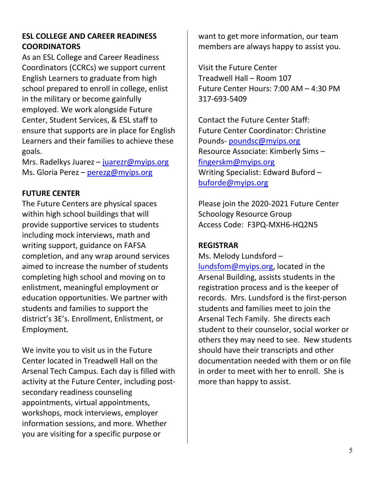## ESL COLLEGE AND CAREER READINESS **COORDINATORS**

As an ESL College and Career Readiness Coordinators (CCRCs) we support current English Learners to graduate from high school prepared to enroll in college, enlist in the military or become gainfully employed. We work alongside Future Center, Student Services, & ESL staff to ensure that supports are in place for English Learners and their families to achieve these goals.

Mrs. Radelkys Juarez – juarezr@myips.org Ms. Gloria Perez - perezg@myips.org

### FUTURE CENTER

The Future Centers are physical spaces within high school buildings that will provide supportive services to students including mock interviews, math and writing support, guidance on FAFSA completion, and any wrap around services aimed to increase the number of students completing high school and moving on to enlistment, meaningful employment or education opportunities. We partner with students and families to support the district's 3E's. Enrollment, Enlistment, or Employment.

We invite you to visit us in the Future Center located in Treadwell Hall on the Arsenal Tech Campus. Each day is filled with activity at the Future Center, including postsecondary readiness counseling appointments, virtual appointments, workshops, mock interviews, employer information sessions, and more. Whether you are visiting for a specific purpose or

want to get more information, our team members are always happy to assist you.

Visit the Future Center Treadwell Hall – Room 107 Future Center Hours: 7:00 AM – 4:30 PM 317-693-5409

Contact the Future Center Staff: Future Center Coordinator: Christine Pounds- poundsc@myips.org Resource Associate: Kimberly Sims – fingerskm@myips.org Writing Specialist: Edward Buford – buforde@myips.org

Please join the 2020-2021 Future Center Schoology Resource Group Access Code: F3PQ-MXH6-HQ2N5

#### REGISTRAR

Ms. Melody Lundsford – lundsfom@myips.org, located in the Arsenal Building, assists students in the registration process and is the keeper of records. Mrs. Lundsford is the first-person students and families meet to join the Arsenal Tech Family. She directs each student to their counselor, social worker or others they may need to see. New students should have their transcripts and other documentation needed with them or on file in order to meet with her to enroll. She is more than happy to assist.